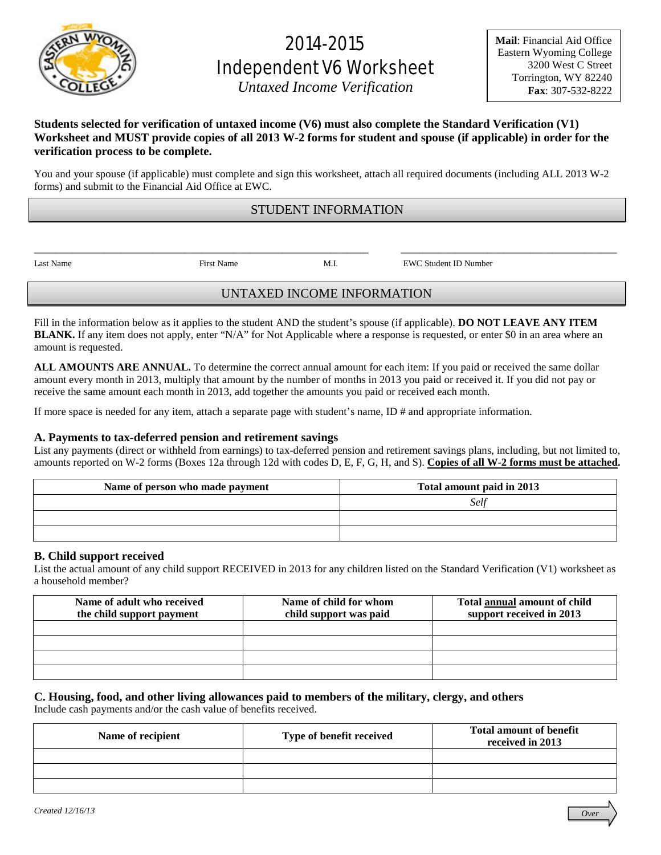

# 2014-2015 Independent V6 Worksheet

*Untaxed Income Verification* 

**Mail**: Financial Aid Office Eastern Wyoming College 3200 West C Street Torrington, WY 82240 **Fax**: 307-532-8222

## **Students selected for verification of untaxed income (V6) must also complete the Standard Verification (V1) Worksheet and MUST provide copies of all 2013 W-2 forms for student and spouse (if applicable) in order for the verification process to be complete.**

You and your spouse (if applicable) must complete and sign this worksheet, attach all required documents (including ALL 2013 W-2 forms) and submit to the Financial Aid Office at EWC.

## STUDENT INFORMATION

\_\_\_\_\_\_\_\_\_\_\_\_\_\_\_\_\_\_\_\_\_\_\_\_\_\_\_\_\_\_\_\_\_\_\_\_\_\_\_\_\_\_\_\_\_\_\_\_\_\_\_\_\_\_\_\_\_\_\_\_\_\_ \_\_\_\_\_\_\_\_\_\_\_\_\_\_\_\_\_\_\_\_\_\_\_\_\_\_\_\_\_\_\_\_\_\_\_\_\_\_\_\_

Last Name First Name M.I. EWC Student ID Number

# UNTAXED INCOME INFORMATION

Fill in the information below as it applies to the student AND the student's spouse (if applicable). **DO NOT LEAVE ANY ITEM BLANK.** If any item does not apply, enter "N/A" for Not Applicable where a response is requested, or enter \$0 in an area where an amount is requested.

**ALL AMOUNTS ARE ANNUAL.** To determine the correct annual amount for each item: If you paid or received the same dollar amount every month in 2013, multiply that amount by the number of months in 2013 you paid or received it. If you did not pay or receive the same amount each month in 2013, add together the amounts you paid or received each month.

If more space is needed for any item, attach a separate page with student's name, ID # and appropriate information.

## **A. Payments to tax-deferred pension and retirement savings**

List any payments (direct or withheld from earnings) to tax-deferred pension and retirement savings plans, including, but not limited to, amounts reported on W-2 forms (Boxes 12a through 12d with codes D, E, F, G, H, and S). **Copies of all W-2 forms must be attached.**

| Name of person who made payment | Total amount paid in 2013 |
|---------------------------------|---------------------------|
|                                 | Self                      |
|                                 |                           |
|                                 |                           |

## **B. Child support received**

List the actual amount of any child support RECEIVED in 2013 for any children listed on the Standard Verification (V1) worksheet as a household member?

| Name of adult who received<br>the child support payment | Name of child for whom<br>child support was paid | Total annual amount of child<br>support received in 2013 |
|---------------------------------------------------------|--------------------------------------------------|----------------------------------------------------------|
|                                                         |                                                  |                                                          |
|                                                         |                                                  |                                                          |
|                                                         |                                                  |                                                          |
|                                                         |                                                  |                                                          |

## **C. Housing, food, and other living allowances paid to members of the military, clergy, and others**

Include cash payments and/or the cash value of benefits received.

| Name of recipient | Type of benefit received | <b>Total amount of benefit</b><br>received in 2013 |
|-------------------|--------------------------|----------------------------------------------------|
|                   |                          |                                                    |
|                   |                          |                                                    |
|                   |                          |                                                    |